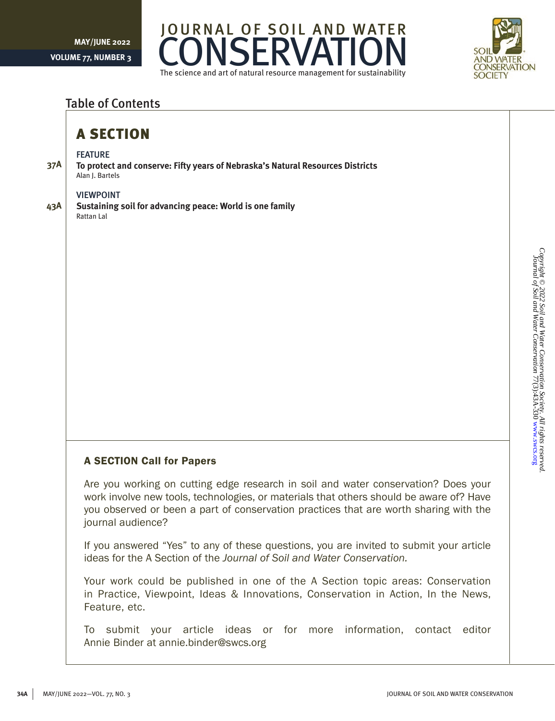



### Table of Contents

## A SECTION

#### FEATURE

**37A To protect and conserve: Fifty years of Nebraska's Natural Resources Districts** Alan J. Bartels

#### VIEWPOINT

**43A**

**Sustaining soil for advancing peace: World is one family** Rattan Lal

### A SECTION Call for Papers

Are you working on cutting edge research in soil and water conservation? Does your work involve new tools, technologies, or materials that others should be aware of? Have you observed or been a part of conservation practices that are worth sharing with the journal audience?

If you answered "Yes" to any of these questions, you are invited to submit your article ideas for the A Section of the *Journal of Soil and Water Conservation.*

Your work could be published in one of the A Section topic areas: Conservation in Practice, Viewpoint, Ideas & Innovations, Conservation in Action, In the News, Feature, etc.

To submit your article ideas or for more information, contact editor Annie Binder at annie.binder@swcs.org